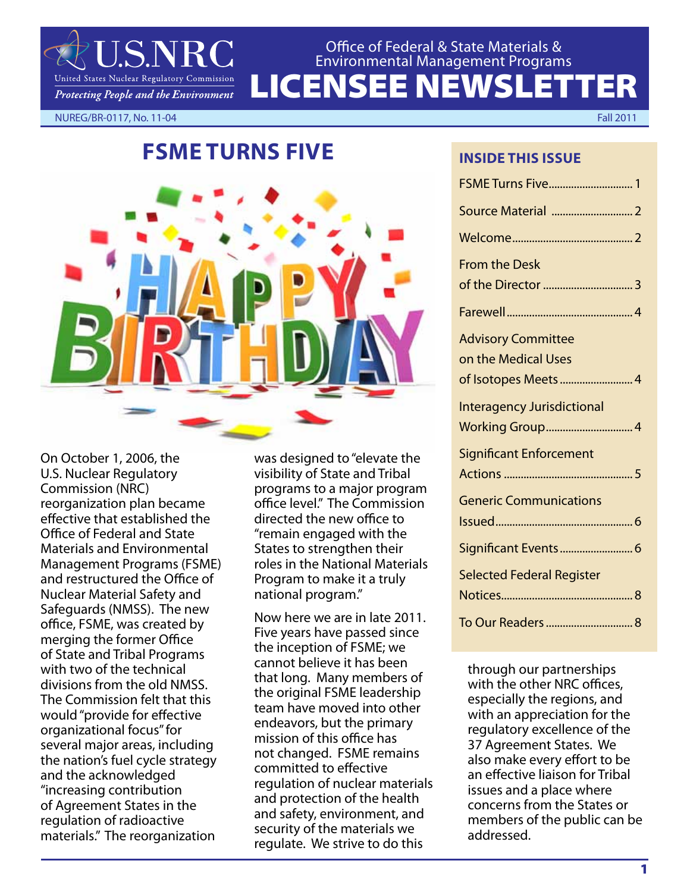

# LICENSEE NEWSLETTER Office of Federal & State Materials & Environmental Management Programs

NUREG/BR-0117, No. 11-04 Fall 2011

# **FSME TURNS FIVE**



On October 1, 2006, the U.S. Nuclear Regulatory Commission (NRC) reorganization plan became effective that established the Office of Federal and State Materials and Environmental Management Programs (FSME) and restructured the Office of Nuclear Material Safety and Safeguards (NMSS). The new office, FSME, was created by merging the former Office of State and Tribal Programs with two of the technical divisions from the old NMSS. The Commission felt that this would "provide for effective organizational focus" for several major areas, including the nation's fuel cycle strategy and the acknowledged "increasing contribution of Agreement States in the regulation of radioactive materials." The reorganization

was designed to "elevate the visibility of State and Tribal programs to a major program office level." The Commission directed the new office to "remain engaged with the States to strengthen their roles in the National Materials Program to make it a truly national program."

Now here we are in late 2011. Five years have passed since the inception of FSME; we cannot believe it has been that long. Many members of the original FSME leadership team have moved into other endeavors, but the primary mission of this office has not changed. FSME remains committed to effective regulation of nuclear materials and protection of the health and safety, environment, and security of the materials we regulate. We strive to do this

**INSIDE THIS ISSUE**

| <b>FSME Turns Five 1</b>                         |
|--------------------------------------------------|
| Source Material  2                               |
|                                                  |
| <b>From the Desk</b>                             |
|                                                  |
|                                                  |
| <b>Advisory Committee</b><br>on the Medical Uses |
| of Isotopes Meets  4                             |
| <b>Interagency Jurisdictional</b>                |
| <b>Working Group 4</b>                           |
| <b>Significant Enforcement</b>                   |
|                                                  |
| <b>Generic Communications</b>                    |
| Significant Events  6                            |
| <b>Selected Federal Register</b>                 |
|                                                  |
|                                                  |

through our partnerships with the other NRC offices, especially the regions, and with an appreciation for the regulatory excellence of the 37 Agreement States. We also make every effort to be an effective liaison for Tribal issues and a place where concerns from the States or members of the public can be addressed.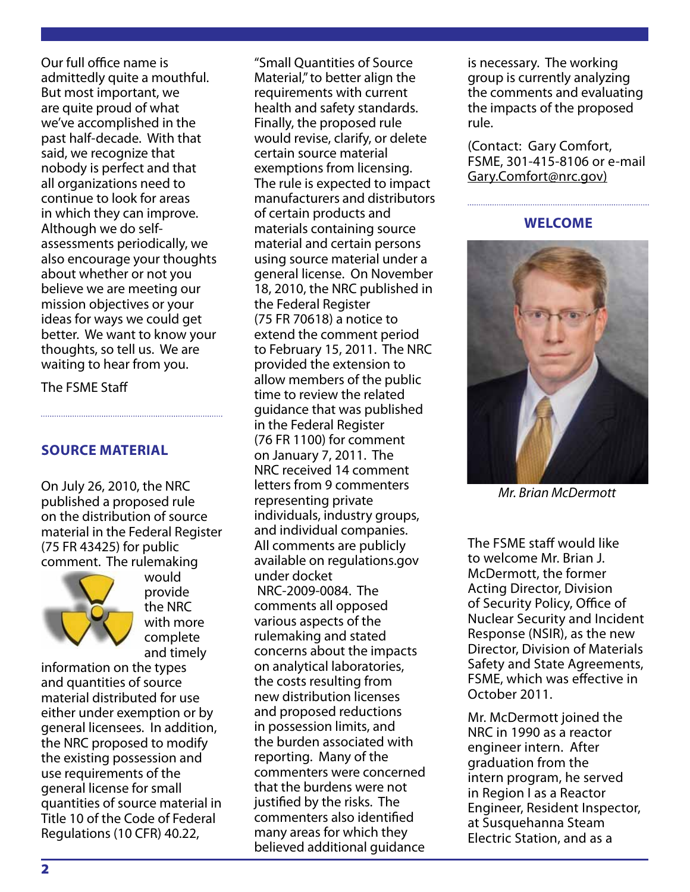Our full office name is admittedly quite a mouthful. But most important, we are quite proud of what we've accomplished in the past half-decade. With that said, we recognize that nobody is perfect and that all organizations need to continue to look for areas in which they can improve. Although we do selfassessments periodically, we also encourage your thoughts about whether or not you believe we are meeting our mission objectives or your ideas for ways we could get better. We want to know your thoughts, so tell us. We are waiting to hear from you.

The FSME Staff

### **SOURCE MATERIAL**

On July 26, 2010, the NRC published a proposed rule on the distribution of source material in the Federal Register (75 FR 43425) for public comment. The rulemaking



would provide the NRC with more complete and timely

information on the types and quantities of source material distributed for use either under exemption or by general licensees. In addition, the NRC proposed to modify the existing possession and use requirements of the general license for small quantities of source material in Title 10 of the Code of Federal Regulations (10 CFR) 40.22,

"Small Quantities of Source Material," to better align the requirements with current health and safety standards. Finally, the proposed rule would revise, clarify, or delete certain source material exemptions from licensing. The rule is expected to impact manufacturers and distributors of certain products and materials containing source material and certain persons using source material under a general license. On November 18, 2010, the NRC published in the Federal Register (75 FR 70618) a notice to extend the comment period to February 15, 2011. The NRC provided the extension to allow members of the public time to review the related guidance that was published in the Federal Register (76 FR 1100) for comment on January 7, 2011. The NRC received 14 comment letters from 9 commenters representing private individuals, industry groups, and individual companies. All comments are publicly available on regulations.gov under docket NRC-2009-0084. The comments all opposed various aspects of the rulemaking and stated concerns about the impacts on analytical laboratories, the costs resulting from new distribution licenses and proposed reductions in possession limits, and the burden associated with reporting. Many of the commenters were concerned that the burdens were not justified by the risks. The commenters also identified many areas for which they believed additional guidance

is necessary. The working group is currently analyzing the comments and evaluating the impacts of the proposed rule.

(Contact: Gary Comfort, FSME, 301-415-8106 or e-mail Gary.Comfort@nrc.gov)

#### **WELCOME**



*Mr. Brian McDermott*

The FSME staff would like to welcome Mr. Brian J. McDermott, the former Acting Director, Division of Security Policy, Office of Nuclear Security and Incident Response (NSIR), as the new Director, Division of Materials Safety and State Agreements, FSME, which was effective in October 2011.

Mr. McDermott joined the NRC in 1990 as a reactor engineer intern. After graduation from the intern program, he served in Region I as a Reactor Engineer, Resident Inspector, at Susquehanna Steam Electric Station, and as a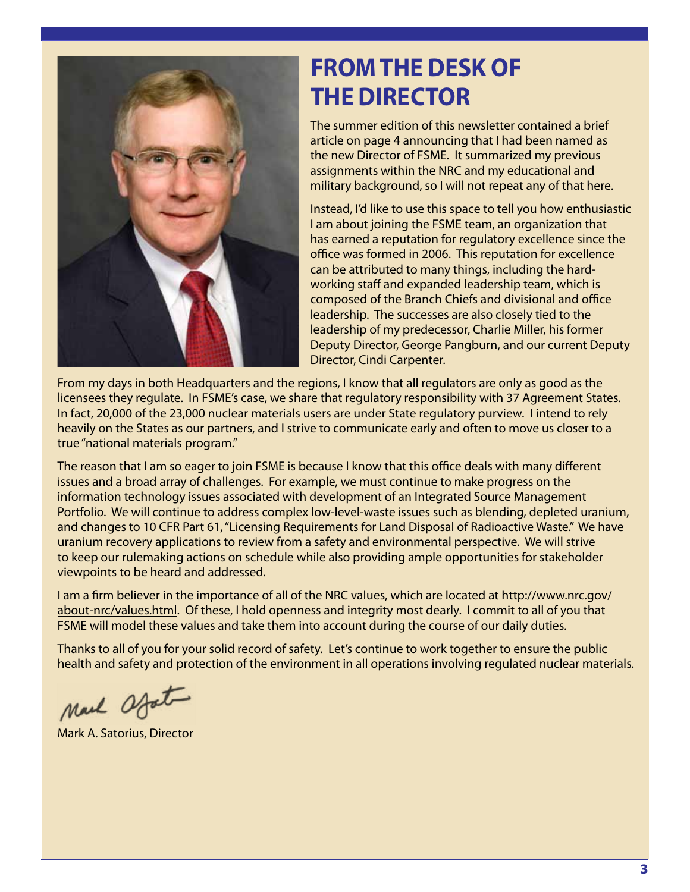

# **from the desk of the director**

The summer edition of this newsletter contained a brief article on page 4 announcing that I had been named as the new Director of FSME. It summarized my previous assignments within the NRC and my educational and military background, so I will not repeat any of that here.

Instead, I'd like to use this space to tell you how enthusiastic I am about joining the FSME team, an organization that has earned a reputation for regulatory excellence since the office was formed in 2006. This reputation for excellence can be attributed to many things, including the hardworking staff and expanded leadership team, which is composed of the Branch Chiefs and divisional and office leadership. The successes are also closely tied to the leadership of my predecessor, Charlie Miller, his former Deputy Director, George Pangburn, and our current Deputy Director, Cindi Carpenter.

From my days in both Headquarters and the regions, I know that all regulators are only as good as the licensees they regulate. In FSME's case, we share that regulatory responsibility with 37 Agreement States. In fact, 20,000 of the 23,000 nuclear materials users are under State regulatory purview. I intend to rely heavily on the States as our partners, and I strive to communicate early and often to move us closer to a true "national materials program."

The reason that I am so eager to join FSME is because I know that this office deals with many different issues and a broad array of challenges. For example, we must continue to make progress on the information technology issues associated with development of an Integrated Source Management Portfolio. We will continue to address complex low-level-waste issues such as blending, depleted uranium, and changes to 10 CFR Part 61, "Licensing Requirements for Land Disposal of Radioactive Waste." We have uranium recovery applications to review from a safety and environmental perspective. We will strive to keep our rulemaking actions on schedule while also providing ample opportunities for stakeholder viewpoints to be heard and addressed.

I am a firm believer in the importance of all of the NRC values, which are located at http://www.nrc.gov/ about-nrc/values.html. Of these, I hold openness and integrity most dearly. I commit to all of you that FSME will model these values and take them into account during the course of our daily duties.

Thanks to all of you for your solid record of safety. Let's continue to work together to ensure the public health and safety and protection of the environment in all operations involving regulated nuclear materials.

Mail afat

Mark A. Satorius, Director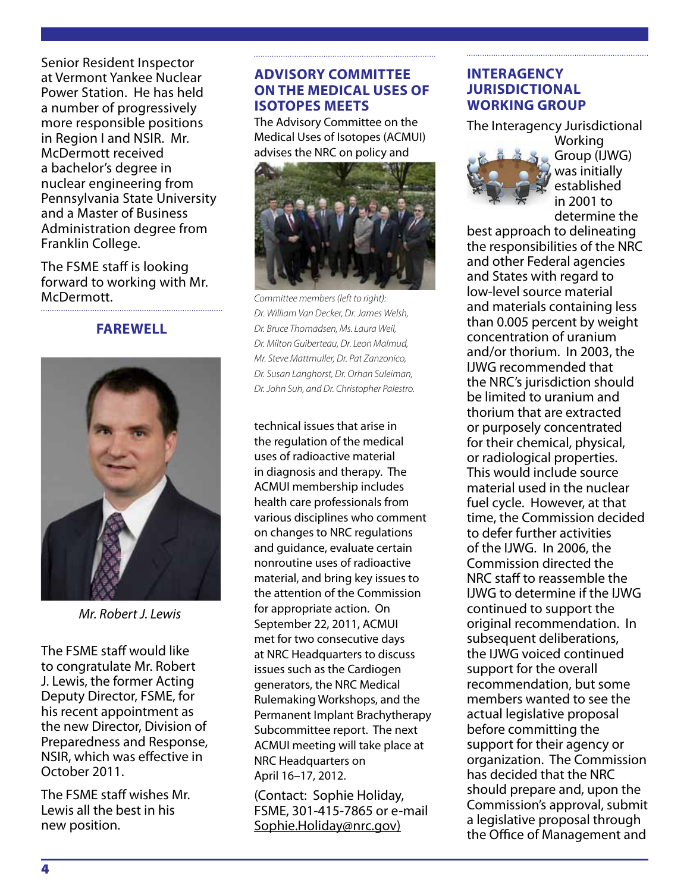Senior Resident Inspector at Vermont Yankee Nuclear Power Station. He has held a number of progressively more responsible positions in Region I and NSIR. Mr. McDermott received a bachelor's degree in nuclear engineering from Pennsylvania State University and a Master of Business Administration degree from Franklin College.

The FSME staff is looking forward to working with Mr. McDermott.

#### **FAREWELL**



*Mr. Robert J. Lewis*

The FSME staff would like to congratulate Mr. Robert J. Lewis, the former Acting Deputy Director, FSME, for his recent appointment as the new Director, Division of Preparedness and Response, NSIR, which was effective in October 2011.

The FSME staff wishes Mr. Lewis all the best in his new position.

#### **ADVISORY COMMITTEE ON THE MEDICAL USES OF ISOTOPES MEETS**

The Advisory Committee on the Medical Uses of Isotopes (ACMUI) advises the NRC on policy and



*Committee members (left to right): Dr. William Van Decker, Dr. James Welsh, Dr. Bruce Thomadsen, Ms. Laura Weil, Dr. Milton Guiberteau, Dr. Leon Malmud, Mr. Steve Mattmuller, Dr. Pat Zanzonico, Dr. Susan Langhorst, Dr. Orhan Suleiman, Dr. John Suh, and Dr. Christopher Palestro.*

technical issues that arise in the regulation of the medical uses of radioactive material in diagnosis and therapy. The ACMUI membership includes health care professionals from various disciplines who comment on changes to NRC regulations and guidance, evaluate certain nonroutine uses of radioactive material, and bring key issues to the attention of the Commission for appropriate action. On September 22, 2011, ACMUI met for two consecutive days at NRC Headquarters to discuss issues such as the Cardiogen generators, the NRC Medical Rulemaking Workshops, and the Permanent Implant Brachytherapy Subcommittee report. The next ACMUI meeting will take place at NRC Headquarters on April 16–17, 2012.

(Contact: Sophie Holiday, FSME, 301-415-7865 or e-mail Sophie.Holiday@nrc.gov)

#### **INTERAGENCY JURISDICTIONAL WORKING GROUP**

The Interagency Jurisdictional



Group (IJWG) was initially established in 2001 to determine the

best approach to delineating the responsibilities of the NRC and other Federal agencies and States with regard to low-level source material and materials containing less than 0.005 percent by weight concentration of uranium and/or thorium. In 2003, the IJWG recommended that the NRC's jurisdiction should be limited to uranium and thorium that are extracted or purposely concentrated for their chemical, physical, or radiological properties. This would include source material used in the nuclear fuel cycle. However, at that time, the Commission decided to defer further activities of the IJWG. In 2006, the Commission directed the NRC staff to reassemble the IJWG to determine if the IJWG continued to support the original recommendation. In subsequent deliberations, the IJWG voiced continued support for the overall recommendation, but some members wanted to see the actual legislative proposal before committing the support for their agency or organization. The Commission has decided that the NRC should prepare and, upon the Commission's approval, submit a legislative proposal through the Office of Management and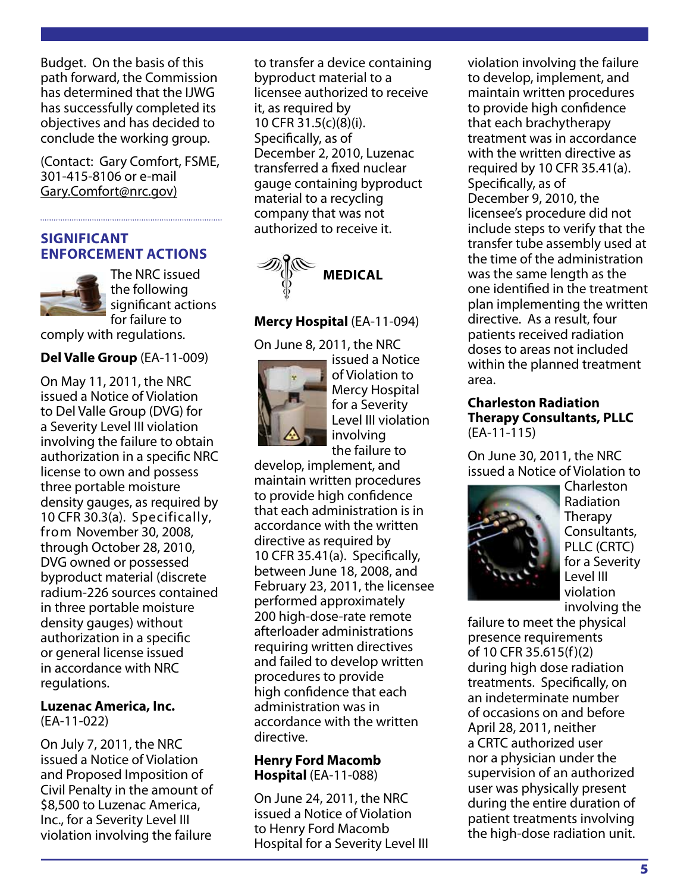Budget. On the basis of this path forward, the Commission has determined that the IJWG has successfully completed its objectives and has decided to conclude the working group.

(Contact: Gary Comfort, FSME, 301-415-8106 or e-mail Gary.Comfort@nrc.gov)

#### **SIGNIFICANT ENFORCEMENT ACTIONS**



The NRC issued the following significant actions for failure to

comply with regulations.

#### **Del Valle Group** (EA-11-009)

On May 11, 2011, the NRC issued a Notice of Violation to Del Valle Group (DVG) for a Severity Level III violation involving the failure to obtain authorization in a specific NRC license to own and possess three portable moisture density gauges, as required by 10 CFR 30.3(a). Specifically, from November 30, 2008, through October 28, 2010, DVG owned or possessed byproduct material (discrete radium-226 sources contained in three portable moisture density gauges) without authorization in a specific or general license issued in accordance with NRC regulations.

#### **Luzenac America, Inc.**  (EA-11-022)

On July 7, 2011, the NRC issued a Notice of Violation and Proposed Imposition of Civil Penalty in the amount of \$8,500 to Luzenac America,

Inc., for a Severity Level III violation involving the failure to transfer a device containing byproduct material to a licensee authorized to receive it, as required by 10 CFR 31.5(c)(8)(i). Specifically, as of December 2, 2010, Luzenac transferred a fixed nuclear gauge containing byproduct material to a recycling company that was not authorized to receive it.



#### **Mercy Hospital** (EA-11-094)

On June 8, 2011, the NRC



issued a Notice of Violation to Mercy Hospital for a Severity Level III violation involving the failure to

develop, implement, and maintain written procedures to provide high confidence that each administration is in accordance with the written directive as required by 10 CFR 35.41(a). Specifically, between June 18, 2008, and February 23, 2011, the licensee performed approximately 200 high-dose-rate remote afterloader administrations requiring written directives and failed to develop written procedures to provide high confidence that each administration was in accordance with the written directive.

#### **Henry Ford Macomb Hospital** (EA-11-088)

On June 24, 2011, the NRC issued a Notice of Violation to Henry Ford Macomb Hospital for a Severity Level III violation involving the failure to develop, implement, and maintain written procedures to provide high confidence that each brachytherapy treatment was in accordance with the written directive as required by 10 CFR 35.41(a). Specifically, as of December 9, 2010, the licensee's procedure did not include steps to verify that the transfer tube assembly used at the time of the administration was the same length as the one identified in the treatment plan implementing the written directive. As a result, four patients received radiation doses to areas not included within the planned treatment area.

#### **Charleston Radiation Therapy Consultants, PLLC**  (EA-11-115)

On June 30, 2011, the NRC issued a Notice of Violation to



Charleston Radiation **Therapy** Consultants, PLLC (CRTC) for a Severity Level III violation involving the

failure to meet the physical presence requirements of 10 CFR 35.615(f)(2) during high dose radiation treatments. Specifically, on an indeterminate number of occasions on and before April 28, 2011, neither a CRTC authorized user nor a physician under the supervision of an authorized user was physically present during the entire duration of patient treatments involving the high-dose radiation unit.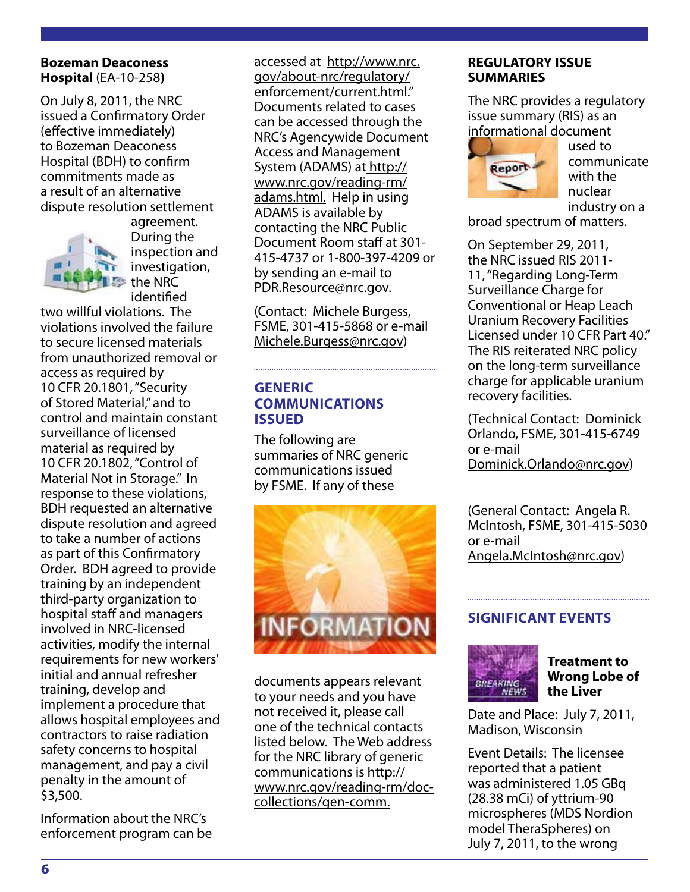#### **Bozeman Deaconess Hospital** (EA-10-258**)**

On July 8, 2011, the NRC issued a Confirmatory Order (effective immediately) to Bozeman Deaconess Hospital (BDH) to confirm commitments made as a result of an alternative dispute resolution settlement



agreement. During the inspection and investigation, the NRC identified

two willful violations. The violations involved the failure to secure licensed materials from unauthorized removal or access as required by 10 CFR 20.1801, "Security of Stored Material," and to control and maintain constant surveillance of licensed material as required by 10 CFR 20.1802, "Control of Material Not in Storage." In response to these violations, BDH requested an alternative dispute resolution and agreed to take a number of actions as part of this Confirmatory Order. BDH agreed to provide training by an independent third-party organization to hospital staff and managers involved in NRC-licensed activities, modify the internal requirements for new workers' initial and annual refresher training, develop and implement a procedure that allows hospital employees and contractors to raise radiation safety concerns to hospital management, and pay a civil penalty in the amount of \$3,500.

Information about the NRC's enforcement program can be accessed at http://www.nrc. gov/about-nrc/regulatory/ enforcement/current.html." Documents related to cases can be accessed through the NRC's Agencywide Document Access and Management System (ADAMS) at http:// www.nrc.gov/reading-rm/ adams.html. Help in using ADAMS is available by contacting the NRC Public Document Room staff at 301- 415-4737 or 1-800-397-4209 or by sending an e-mail to PDR.Resource@nrc.gov.

(Contact: Michele Burgess, FSME, 301-415-5868 or e-mail Michele.Burgess@nrc.gov)

#### **GENERIC COMMUNICATIONS ISSUED**

The following are summaries of NRC generic communications issued by FSME. If any of these



documents appears relevant to your needs and you have not received it, please call one of the technical contacts listed below. The Web address for the NRC library of generic communications is http:// www.nrc.gov/reading-rm/doccollections/gen-comm.

#### **REGULATORY ISSUE SUMMARIES**

The NRC provides a regulatory issue summary (RIS) as an informational document



used to communicate with the nuclear industry on a

broad spectrum of matters.

On September 29, 2011, the NRC issued RIS 2011- 11, "Regarding Long-Term Surveillance Charge for Conventional or Heap Leach Uranium Recovery Facilities Licensed under 10 CFR Part 40." The RIS reiterated NRC policy on the long-term surveillance charge for applicable uranium recovery facilities.

(Technical Contact: Dominick Orlando, FSME, 301-415-6749 or e-mail Dominick.Orlando@nrc.gov)

(General Contact: Angela R. McIntosh, FSME, 301-415-5030 or e-mail Angela.McIntosh@nrc.gov)

## **SIGNIFICANT EVENTS**



**Treatment to Wrong Lobe of the Liver** 

Date and Place: July 7, 2011, Madison, Wisconsin

Event Details: The licensee reported that a patient was administered 1.05 GBq (28.38 mCi) of yttrium-90 microspheres (MDS Nordion model TheraSpheres) on July 7, 2011, to the wrong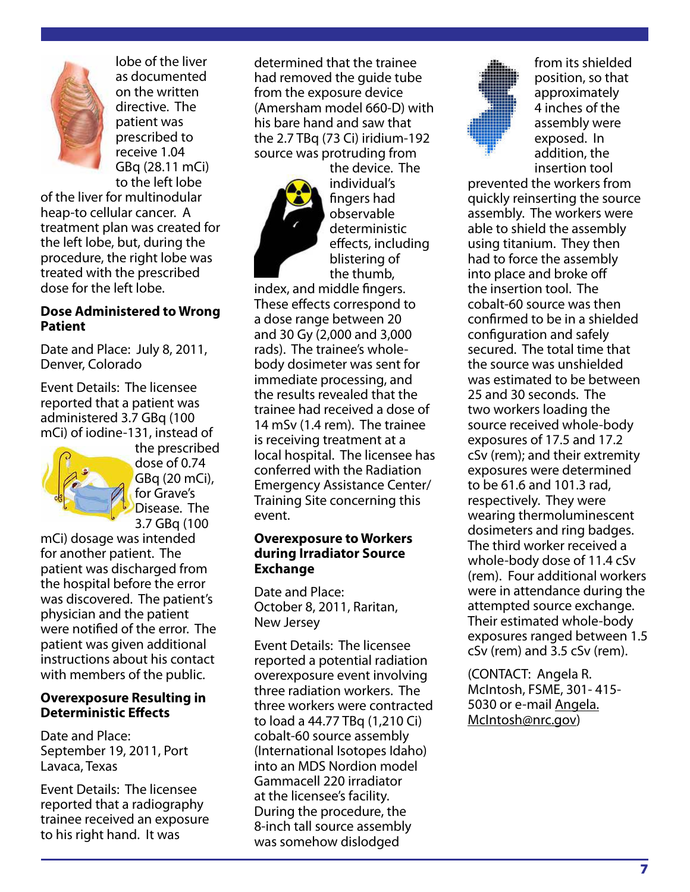lobe of the liver as documented on the written directive. The patient was prescribed to receive 1.04 GBq (28.11 mCi) to the left lobe

of the liver for multinodular heap-to cellular cancer. A treatment plan was created for the left lobe, but, during the procedure, the right lobe was treated with the prescribed dose for the left lobe.

#### **Dose Administered to Wrong Patient**

Date and Place: July 8, 2011, Denver, Colorado

Event Details: The licensee reported that a patient was administered 3.7 GBq (100 mCi) of iodine-131, instead of



the prescribed dose of 0.74 GBq (20 mCi), for Grave's Disease. The 3.7 GBq (100

mCi) dosage was intended for another patient. The patient was discharged from the hospital before the error was discovered. The patient's physician and the patient were notified of the error. The patient was given additional instructions about his contact with members of the public.

#### **Overexposure Resulting in Deterministic Effects**

Date and Place: September 19, 2011, Port Lavaca, Texas

Event Details: The licensee reported that a radiography trainee received an exposure to his right hand. It was

determined that the trainee had removed the guide tube from the exposure device (Amersham model 660-D) with his bare hand and saw that the 2.7 TBq (73 Ci) iridium-192 source was protruding from



the device. The individual's fingers had observable deterministic effects, including blistering of the thumb,

index, and middle fingers. These effects correspond to a dose range between 20 and 30 Gy (2,000 and 3,000 rads). The trainee's wholebody dosimeter was sent for immediate processing, and the results revealed that the trainee had received a dose of 14 mSv (1.4 rem). The trainee is receiving treatment at a local hospital. The licensee has conferred with the Radiation Emergency Assistance Center/ Training Site concerning this event.

#### **Overexposure to Workers during Irradiator Source Exchange**

Date and Place: October 8, 2011, Raritan, New Jersey

Event Details: The licensee reported a potential radiation overexposure event involving three radiation workers. The three workers were contracted to load a 44.77 TBq (1,210 Ci) cobalt-60 source assembly (International Isotopes Idaho) into an MDS Nordion model Gammacell 220 irradiator at the licensee's facility. During the procedure, the 8-inch tall source assembly was somehow dislodged



from its shielded position, so that approximately 4 inches of the assembly were exposed. In addition, the insertion tool

prevented the workers from quickly reinserting the source assembly. The workers were able to shield the assembly using titanium. They then had to force the assembly into place and broke off the insertion tool. The cobalt-60 source was then confirmed to be in a shielded configuration and safely secured. The total time that the source was unshielded was estimated to be between 25 and 30 seconds. The two workers loading the source received whole-body exposures of 17.5 and 17.2 cSv (rem); and their extremity exposures were determined to be 61.6 and 101.3 rad, respectively. They were wearing thermoluminescent dosimeters and ring badges. The third worker received a whole-body dose of 11.4 cSv (rem). Four additional workers were in attendance during the attempted source exchange. Their estimated whole-body exposures ranged between 1.5 cSv (rem) and 3.5 cSv (rem).

(CONTACT: Angela R. McIntosh, FSME, 301- 415- 5030 or e-mail Angela. McIntosh@nrc.gov)